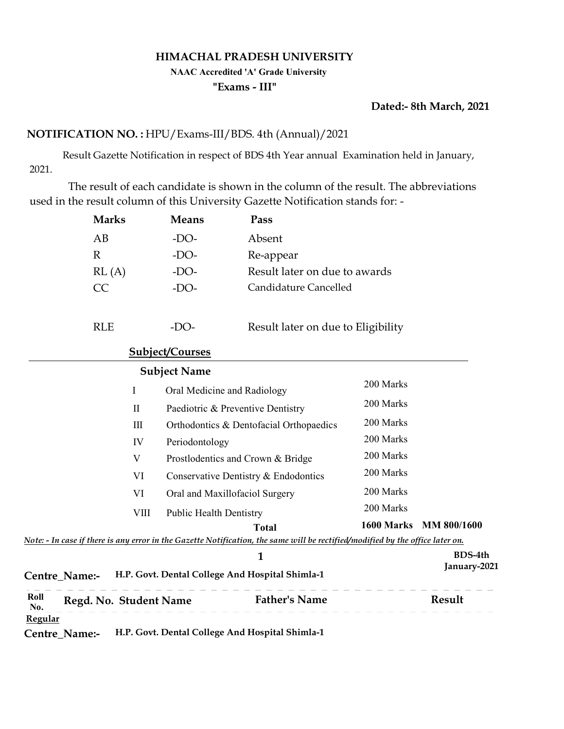#### HIMACHAL PRADESH UNIVERSITY

#### NAAC Accredited 'A' Grade University

#### "Exams - III"

### Dated:- 8th March, 2021

### NOTIFICATION NO. : HPU/Exams-III/BDS. 4th (Annual)/2021

 Result Gazette Notification in respect of BDS 4th Year annual Examination held in January, 2021.

 The result of each candidate is shown in the column of the result. The abbreviations used in the result column of this University Gazette Notification stands for: -

|             | <b>Marks</b>           |              | <b>Means</b>        | Pass                                                                                                                           |           |                        |
|-------------|------------------------|--------------|---------------------|--------------------------------------------------------------------------------------------------------------------------------|-----------|------------------------|
|             | AB                     |              | $-DO-$              | Absent                                                                                                                         |           |                        |
|             | $\mathbb{R}$           |              | $-DO-$              | Re-appear                                                                                                                      |           |                        |
|             | RL(A)                  |              | $-DO-$              | Result later on due to awards                                                                                                  |           |                        |
|             | CC                     |              | $-DO-$              | Candidature Cancelled                                                                                                          |           |                        |
|             | <b>RLE</b>             |              | $-DO-$              | Result later on due to Eligibility                                                                                             |           |                        |
|             |                        |              | Subject/Courses     |                                                                                                                                |           |                        |
|             |                        |              | <b>Subject Name</b> |                                                                                                                                |           |                        |
|             |                        | $\mathbf I$  |                     | Oral Medicine and Radiology                                                                                                    | 200 Marks |                        |
|             |                        | $\mathbf{I}$ |                     | Paediotric & Preventive Dentistry                                                                                              | 200 Marks |                        |
|             |                        | $\rm III$    |                     | Orthodontics & Dentofacial Orthopaedics                                                                                        | 200 Marks |                        |
|             |                        | IV           | Periodontology      |                                                                                                                                | 200 Marks |                        |
|             |                        | $\mathbf V$  |                     | Prostlodentics and Crown & Bridge                                                                                              | 200 Marks |                        |
|             |                        | VI           |                     | Conservative Dentistry & Endodontics                                                                                           | 200 Marks |                        |
|             |                        | <b>VI</b>    |                     | Oral and Maxillofaciol Surgery                                                                                                 | 200 Marks |                        |
|             |                        | <b>VIII</b>  |                     | <b>Public Health Dentistry</b>                                                                                                 | 200 Marks |                        |
|             |                        |              |                     | <b>Total</b>                                                                                                                   |           | 1600 Marks MM 800/1600 |
|             |                        |              |                     | Note: - In case if there is any error in the Gazette Notification, the same will be rectified/modified by the office later on. |           |                        |
|             |                        |              |                     | $\mathbf{1}$                                                                                                                   |           | <b>BDS-4th</b>         |
|             | Centre_Name:-          |              |                     | H.P. Govt. Dental College And Hospital Shimla-1                                                                                |           | January-2021           |
| Roll<br>No. | Regd. No. Student Name |              |                     | <b>Father's Name</b>                                                                                                           |           | Result                 |
| Regular     |                        |              |                     |                                                                                                                                |           |                        |
|             | Centre_Name:-          |              |                     | H.P. Govt. Dental College And Hospital Shimla-1                                                                                |           |                        |
|             |                        |              |                     |                                                                                                                                |           |                        |
|             |                        |              |                     |                                                                                                                                |           |                        |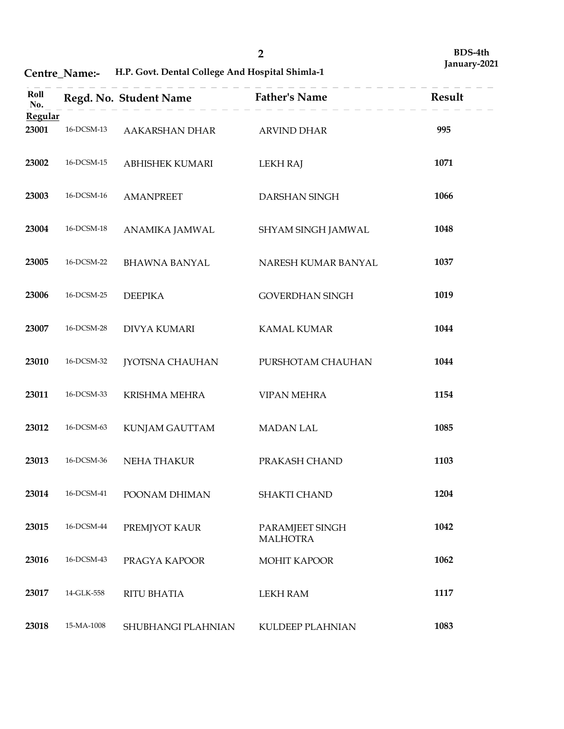Centre\_Name:- H.P. Govt. Dental College And Hospital Shimla-1

|                         | Centre_Name:-            | H.P. Govt. Dental College And Hospital Shimla-1 | $\overline{2}$                     | BDS-4th<br>January-2021 |
|-------------------------|--------------------------|-------------------------------------------------|------------------------------------|-------------------------|
| Roll                    |                          | Regd. No. Student Name                          | <b>Father's Name</b>               | Result                  |
| No.<br>Regular<br>23001 | 16-DCSM-13               | AAKARSHAN DHAR                                  | <b>ARVIND DHAR</b>                 | 995                     |
| 23002                   | 16-DCSM-15               | ABHISHEK KUMARI                                 | <b>LEKH RAJ</b>                    | 1071                    |
| 23003                   | 16-DCSM-16               | <b>AMANPREET</b>                                | DARSHAN SINGH                      | 1066                    |
| 23004                   | 16-DCSM-18               | ANAMIKA JAMWAL                                  | SHYAM SINGH JAMWAL                 | 1048                    |
| 23005                   | 16-DCSM-22               | <b>BHAWNA BANYAL</b>                            | NARESH KUMAR BANYAL                | 1037                    |
| 23006                   | 16-DCSM-25               | <b>DEEPIKA</b>                                  | GOVERDHAN SINGH                    | 1019                    |
| 23007                   | 16-DCSM-28               | <b>DIVYA KUMARI</b>                             | KAMAL KUMAR                        | 1044                    |
| 23010                   | 16-DCSM-32               | JYOTSNA CHAUHAN                                 | PURSHOTAM CHAUHAN                  | 1044                    |
| 23011                   | 16-DCSM-33               | KRISHMA MEHRA                                   | <b>VIPAN MEHRA</b>                 | 1154                    |
| 23012                   | 16-DCSM-63               | KUNJAM GAUTTAM                                  | <b>MADAN LAL</b>                   | 1085                    |
| 23013                   | 16-DCSM-36               | NEHA THAKUR                                     | PRAKASH CHAND                      | 1103                    |
| 23014                   | $16$ -DCSM-41            | POONAM DHIMAN                                   | SHAKTI CHAND                       | 1204                    |
| 23015                   | 16-DCSM-44               | PREMJYOT KAUR                                   | PARAMJEET SINGH<br><b>MALHOTRA</b> | 1042                    |
| 23016<br>23017          | 16-DCSM-43<br>14-GLK-558 | PRAGYA KAPOOR<br>RITU BHATIA                    | MOHIT KAPOOR<br><b>LEKH RAM</b>    | 1062<br>1117            |
| 23018                   | $15-MA-1008$             | SHUBHANGI PLAHNIAN                              | KULDEEP PLAHNIAN                   | 1083                    |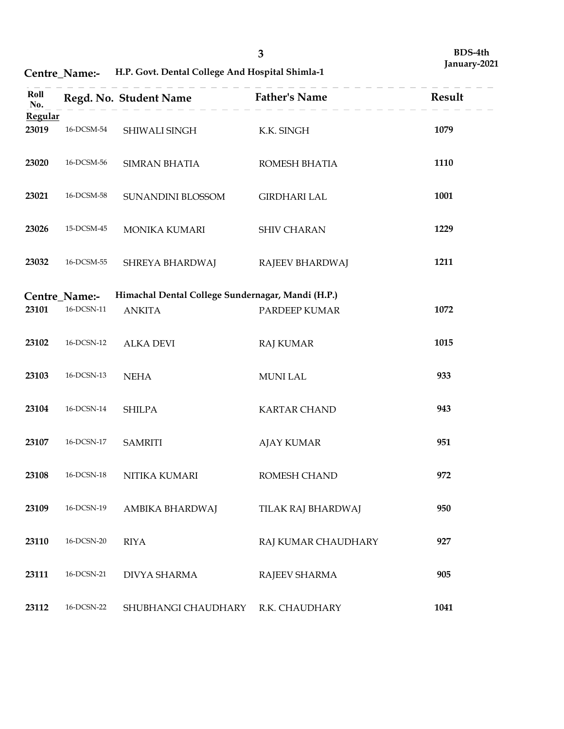|                  |                                          |                                                                    | $\mathbf{3}$                       | BDS-4th<br>January-2021 |
|------------------|------------------------------------------|--------------------------------------------------------------------|------------------------------------|-------------------------|
|                  | Centre_Name:-                            | H.P. Govt. Dental College And Hospital Shimla-1                    |                                    |                         |
| Roll<br>No.      |                                          | Regd. No. Student Name                                             | <b>Father's Name</b>               | Result                  |
| Regular<br>23019 | 16-DCSM-54                               | SHIWALI SINGH                                                      | K.K. SINGH                         | 1079                    |
| 23020            | 16-DCSM-56                               | SIMRAN BHATIA                                                      | ROMESH BHATIA                      | 1110                    |
| 23021            | 16-DCSM-58                               | SUNANDINI BLOSSOM                                                  | <b>GIRDHARI LAL</b>                | 1001                    |
| 23026            | 15-DCSM-45                               | MONIKA KUMARI                                                      | <b>SHIV CHARAN</b>                 | 1229                    |
| 23032            | 16-DCSM-55                               | SHREYA BHARDWAJ                                                    | RAJEEV BHARDWAJ                    | 1211                    |
| 23101            | Centre_Name:-<br>$16$ -DCSN-11 $\,$      | Himachal Dental College Sundernagar, Mandi (H.P.)<br><b>ANKITA</b> | PARDEEP KUMAR                      | 1072                    |
| 23102            | $16$ -DCSN-12 $\,$                       | ALKA DEVI                                                          | RAJ KUMAR                          | 1015                    |
| 23103            | 16-DCSN-13                               | <b>NEHA</b>                                                        | MUNI LAL                           | 933                     |
| 23104            | $16$ -DCSN-14 $\,$                       | SHILPA                                                             | <b>KARTAR CHAND</b>                | 943                     |
| 23107<br>23108   | $16$ -DCSN-17 $\,$<br>$16$ -DCSN-18 $\,$ | <b>SAMRITI</b>                                                     | <b>AJAY KUMAR</b>                  | 951<br>972              |
| 23109            | $16$ -DCSN-19 $\,$                       | NITIKA KUMARI<br>AMBIKA BHARDWAJ                                   | ROMESH CHAND<br>TILAK RAJ BHARDWAJ | 950                     |
| 23110            | $16$ -DCSN-20 $\,$                       | <b>RIYA</b>                                                        | RAJ KUMAR CHAUDHARY                | 927                     |
| 23111            | $16$ -DCSN-21 $\,$                       | DIVYA SHARMA                                                       | RAJEEV SHARMA                      | 905                     |
| 23112            | $16$ -DCSN-22 $\,$                       | SHUBHANGI CHAUDHARY                                                | R.K. CHAUDHARY                     | 1041                    |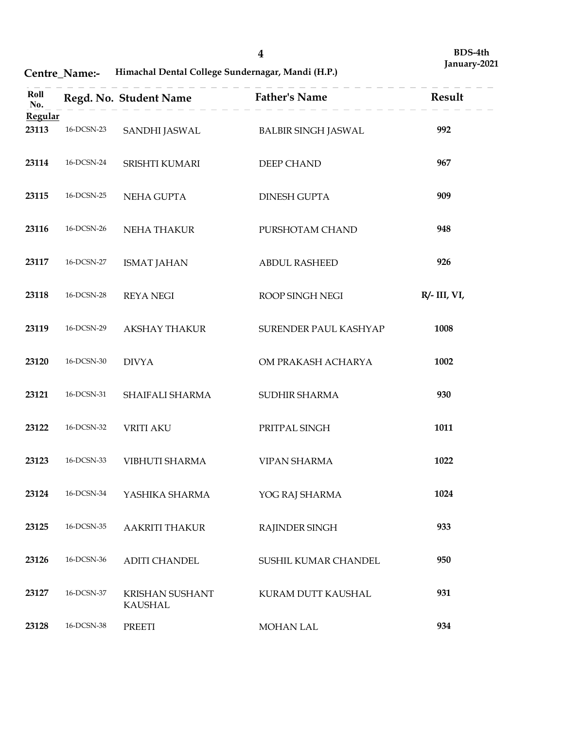Centre\_Name:- Himachal Dental College Sundernagar, Mandi (H.P.)

|                         | Centre_Name:-      | Himachal Dental College Sundernagar, Mandi (H.P.) | $\overline{\mathbf{4}}$    | BDS-4th<br>January-2021 |
|-------------------------|--------------------|---------------------------------------------------|----------------------------|-------------------------|
| Roll                    |                    | Regd. No. Student Name                            | <b>Father's Name</b>       | Result                  |
| No.<br>Regular<br>23113 | 16-DCSN-23         | SANDHI JASWAL                                     | <b>BALBIR SINGH JASWAL</b> | 992                     |
| 23114                   | 16-DCSN-24         | SRISHTI KUMARI                                    | DEEP CHAND                 | 967                     |
| 23115                   | 16-DCSN-25         | NEHA GUPTA                                        | <b>DINESH GUPTA</b>        | 909                     |
| 23116                   | 16-DCSN-26         | NEHA THAKUR                                       | PURSHOTAM CHAND            | 948                     |
| 23117                   | 16-DCSN-27         | <b>ISMAT JAHAN</b>                                | <b>ABDUL RASHEED</b>       | 926                     |
| 23118                   | $16$ -DCSN-28      | <b>REYA NEGI</b>                                  | ROOP SINGH NEGI            | $R/- III, VI,$          |
| 23119                   | $16$ -DCSN-29 $\,$ | <b>AKSHAY THAKUR</b>                              | SURENDER PAUL KASHYAP      | 1008                    |
| 23120                   | $16$ -DCSN-30 $\,$ | <b>DIVYA</b>                                      | OM PRAKASH ACHARYA         | 1002                    |
| 23121                   | $16$ -DCSN-31 $\,$ | SHAIFALI SHARMA                                   | SUDHIR SHARMA              | 930                     |
| 23122                   | $16$ -DCSN-32 $\,$ | <b>VRITI AKU</b>                                  | PRITPAL SINGH              | 1011                    |
| 23123                   | 16-DCSN-33         | VIBHUTI SHARMA                                    | VIPAN SHARMA               | 1022                    |
| 23124                   | 16-DCSN-34         | YASHIKA SHARMA                                    | YOG RAJ SHARMA             | 1024                    |
| 23125                   | $16$ -DCSN-35      | <b>AAKRITI THAKUR</b>                             | RAJINDER SINGH             | 933                     |
| 23126                   | $16$ -DCSN-36 $\,$ | ADITI CHANDEL                                     | SUSHIL KUMAR CHANDEL       | 950                     |
| 23127                   | 16-DCSN-37         | KRISHAN SUSHANT<br>KAUSHAL                        | KURAM DUTT KAUSHAL         | 931                     |
| 23128                   | $16$ -DCSN-38 $\,$ | PREETI                                            | MOHAN LAL                  | 934                     |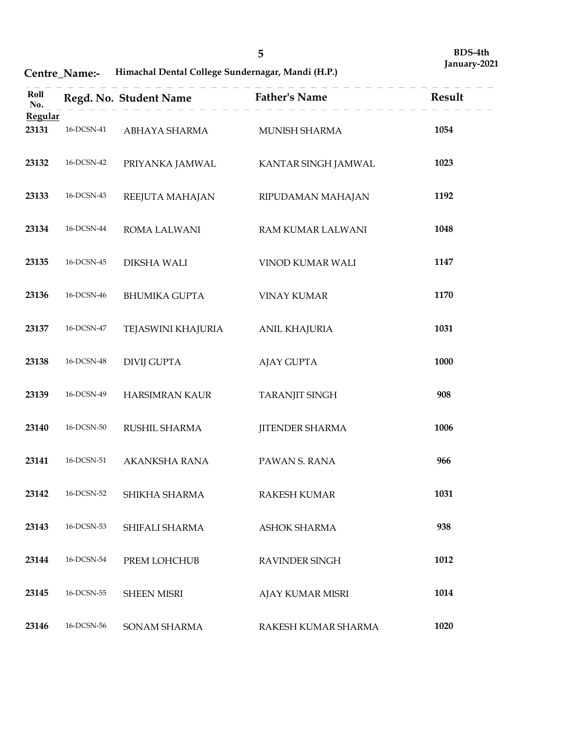# Centre\_Name:- Himachal Dental College Sundernagar, Mandi (H.P.)

|                  | Centre_Name:-                            | Himachal Dental College Sundernagar, Mandi (H.P.) | $\overline{5}$                          | BDS-4th<br>January-2021 |
|------------------|------------------------------------------|---------------------------------------------------|-----------------------------------------|-------------------------|
| Roll<br>No.      |                                          | Regd. No. Student Name                            | <b>Father's Name</b>                    | Result                  |
| Regular<br>23131 | 16-DCSN-41                               | ABHAYA SHARMA                                     | MUNISH SHARMA                           | 1054                    |
| 23132            | $16$ DCSN-42 $\,$                        | PRIYANKA JAMWAL                                   | KANTAR SINGH JAMWAL                     | 1023                    |
| 23133            | $16$ -DCSN-43                            | REEJUTA MAHAJAN                                   | RIPUDAMAN MAHAJAN                       | 1192                    |
| 23134            | 16-DCSN-44                               | ROMA LALWANI                                      | RAM KUMAR LALWANI                       | 1048                    |
| 23135            | 16-DCSN-45                               | <b>DIKSHA WALI</b>                                | VINOD KUMAR WALI                        | 1147                    |
| 23136            | 16-DCSN-46                               | <b>BHUMIKA GUPTA</b>                              | <b>VINAY KUMAR</b>                      | 1170                    |
| 23137            | $16$ -DCSN-47 $\,$                       | TEJASWINI KHAJURIA                                | <b>ANIL KHAJURIA</b>                    | 1031                    |
| 23138            | $16$ -DCSN-48 $\,$                       | <b>DIVIJ GUPTA</b>                                | <b>AJAY GUPTA</b>                       | 1000                    |
| 23139            | $16$ -DCSN-49                            | HARSIMRAN KAUR                                    | TARANJIT SINGH                          | 908                     |
| 23140            | $16$ -DCSN-50 $\,$                       | RUSHIL SHARMA                                     | <b>JITENDER SHARMA</b>                  | 1006                    |
| 23141            | $16$ -DCSN-51 $\,$                       | AKANKSHA RANA                                     | PAWAN S. RANA                           | 966                     |
| 23142            | $16$ -DCSN-52 $\,$                       | SHIKHA SHARMA                                     | RAKESH KUMAR                            | 1031                    |
| 23143            | $16$ -DCSN-53                            | SHIFALI SHARMA                                    | ASHOK SHARMA                            | 938                     |
| 23144            | $16$ -DCSN-54 $\,$<br>$16$ -DCSN-55 $\,$ | PREM LOHCHUB                                      | RAVINDER SINGH                          | 1012                    |
| 23145            | $16$ -DCSN-56                            | <b>SHEEN MISRI</b>                                | AJAY KUMAR MISRI<br>RAKESH KUMAR SHARMA | 1014<br>1020            |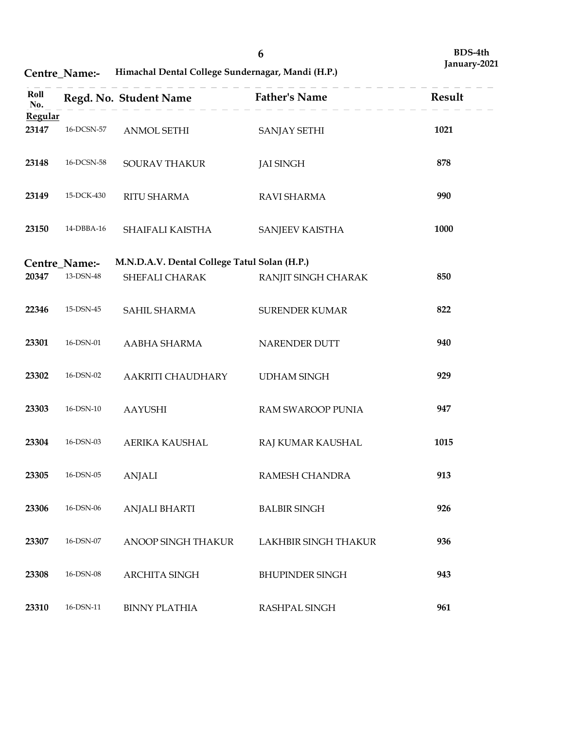Centre\_Name:- Himachal Dental College Sundernagar, Mandi (H.P.)

|                | Centre_Name:- | Himachal Dental College Sundernagar, Mandi (H.P.) | 6                      | BDS-4th<br>January-2021 |
|----------------|---------------|---------------------------------------------------|------------------------|-------------------------|
| Roll           |               | Regd. No. Student Name                            | <b>Father's Name</b>   | Result                  |
| No.<br>Regular |               |                                                   |                        |                         |
| 23147          | 16-DCSN-57    | ANMOL SETHI                                       | SANJAY SETHI           | 1021                    |
| 23148          | 16-DCSN-58    | SOURAV THAKUR                                     | <b>JAI SINGH</b>       | 878                     |
| 23149          | 15-DCK-430    | <b>RITU SHARMA</b>                                | RAVI SHARMA            | 990                     |
| 23150          | 14-DBBA-16    | SHAIFALI KAISTHA                                  | <b>SANJEEV KAISTHA</b> | 1000                    |
|                | Centre_Name:- | M.N.D.A.V. Dental College Tatul Solan (H.P.)      |                        |                         |
| 20347          | 13-DSN-48     | SHEFALI CHARAK                                    | RANJIT SINGH CHARAK    | 850                     |
| 22346          | $15$ -DSN-45  | SAHIL SHARMA                                      | <b>SURENDER KUMAR</b>  | 822                     |
| 23301          | 16-DSN-01     | AABHA SHARMA                                      | NARENDER DUTT          | 940                     |
| 23302          | 16-DSN-02     | AAKRITI CHAUDHARY                                 | <b>UDHAM SINGH</b>     | 929                     |
| 23303          | 16-DSN-10     | AAYUSHI                                           | RAM SWAROOP PUNIA      | 947                     |
| 23304          | 16-DSN-03     | AERIKA KAUSHAL                                    | RAJ KUMAR KAUSHAL      | 1015                    |
| 23305          | $16$ -DSN-05  | ANJALI                                            | RAMESH CHANDRA         | 913                     |
| 23306          | 16-DSN-06     | ANJALI BHARTI                                     | <b>BALBIR SINGH</b>    | 926                     |
| 23307          | 16-DSN-07     | ANOOP SINGH THAKUR                                | LAKHBIR SINGH THAKUR   | 936                     |
| 23308          | 16-DSN-08     | ARCHITA SINGH                                     | <b>BHUPINDER SINGH</b> | 943                     |
| 23310          | 16-DSN-11     | <b>BINNY PLATHIA</b>                              | RASHPAL SINGH          | 961                     |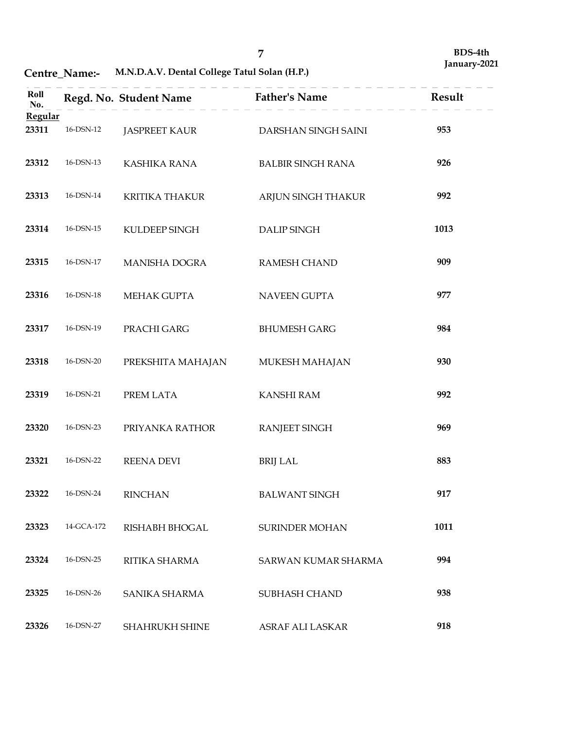Centre\_Name:- M.N.D.A.V. Dental College Tatul Solan (H.P.)

|                  | Centre_Name:-     | M.N.D.A.V. Dental College Tatul Solan (H.P.) | $\overline{7}$           | BDS-4th<br>January-2021 |
|------------------|-------------------|----------------------------------------------|--------------------------|-------------------------|
| Roll<br>No.      |                   | Regd. No. Student Name                       | <b>Father's Name</b>     | Result                  |
| Regular<br>23311 | 16-DSN-12         | <b>JASPREET KAUR</b>                         | DARSHAN SINGH SAINI      | 953                     |
| 23312            | 16-DSN-13         | KASHIKA RANA                                 | <b>BALBIR SINGH RANA</b> | 926                     |
| 23313            | 16-DSN-14         | <b>KRITIKA THAKUR</b>                        | ARJUN SINGH THAKUR       | 992                     |
| 23314            | 16-DSN-15         | KULDEEP SINGH                                | <b>DALIP SINGH</b>       | 1013                    |
| 23315            | 16-DSN-17         | MANISHA DOGRA                                | <b>RAMESH CHAND</b>      | 909                     |
| 23316            | $16$ -DSN-18 $\,$ | MEHAK GUPTA                                  | NAVEEN GUPTA             | 977                     |
| 23317            | $16$ -DSN-19 $\,$ | PRACHI GARG                                  | <b>BHUMESH GARG</b>      | 984                     |
| 23318            | $16$ -DSN-20 $\,$ | PREKSHITA MAHAJAN                            | MUKESH MAHAJAN           | 930                     |
| 23319            | $16$ -DSN-21      | PREM LATA                                    | KANSHI RAM               | 992                     |
| 23320            | $16$ -DSN-23      | PRIYANKA RATHOR                              | RANJEET SINGH            | 969                     |
| 23321            | $16$ -DSN-22 $\,$ | REENA DEVI                                   | <b>BRIJ LAL</b>          | 883                     |
| 23322            | $16$ -DSN-24      | <b>RINCHAN</b>                               | BALWANT SINGH            | 917                     |
| 23323            | 14-GCA-172        | RISHABH BHOGAL                               | SURINDER MOHAN           | 1011                    |
| 23324            | $16$ -DSN-25      | RITIKA SHARMA                                | SARWAN KUMAR SHARMA      | 994                     |
| 23325            | $16$ -DSN-26      | SANIKA SHARMA                                | SUBHASH CHAND            | 938                     |
| 23326            | $16$ -DSN-27 $\,$ | SHAHRUKH SHINE                               | ASRAF ALI LASKAR         | 918                     |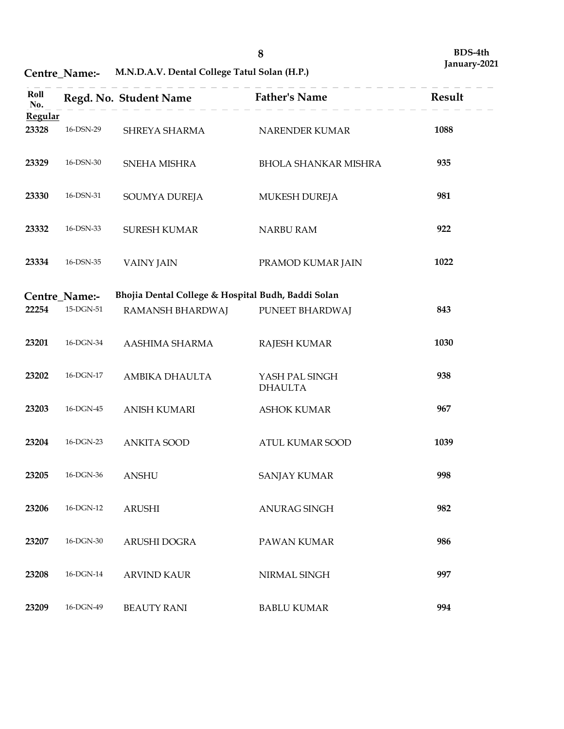Centre\_Name:- M.N.D.A.V. Dental College Tatul Solan (H.P.)

|                         |                           |                                                    |                                  | BDS-4th      |
|-------------------------|---------------------------|----------------------------------------------------|----------------------------------|--------------|
|                         | Centre_Name:-             | M.N.D.A.V. Dental College Tatul Solan (H.P.)       | $\bf 8$                          | January-2021 |
| Roll                    |                           | Regd. No. Student Name                             | <b>Father's Name</b>             | Result       |
| No.<br>Regular<br>23328 | 16-DSN-29                 | SHREYA SHARMA                                      | NARENDER KUMAR                   | 1088         |
| 23329                   | 16-DSN-30                 | SNEHA MISHRA                                       | <b>BHOLA SHANKAR MISHRA</b>      | 935          |
| 23330                   | 16-DSN-31                 | SOUMYA DUREJA                                      | MUKESH DUREJA                    | 981          |
| 23332                   | 16-DSN-33                 | <b>SURESH KUMAR</b>                                | NARBU RAM                        | 922          |
| 23334                   | 16-DSN-35                 | <b>VAINY JAIN</b>                                  | PRAMOD KUMAR JAIN                | 1022         |
|                         | Centre_Name:-             | Bhojia Dental College & Hospital Budh, Baddi Solan |                                  |              |
| 22254                   | $15\mbox{-}\text{DGN-}51$ | RAMANSH BHARDWAJ                                   | PUNEET BHARDWAJ                  | 843          |
| 23201                   | 16-DGN-34                 | AASHIMA SHARMA                                     | <b>RAJESH KUMAR</b>              | 1030         |
| 23202                   | $16$ -DGN-17 $\,$         | AMBIKA DHAULTA                                     | YASH PAL SINGH<br><b>DHAULTA</b> | 938          |
| 23203                   | $16$ -DGN-45              | <b>ANISH KUMARI</b>                                | <b>ASHOK KUMAR</b>               | 967          |
| 23204                   | 16-DGN-23                 | <b>ANKITA SOOD</b>                                 | ATUL KUMAR SOOD                  | 1039         |
| 23205                   | $16$ -DGN-36 $\,$         | ANSHU                                              | <b>SANJAY KUMAR</b>              | 998          |
| 23206                   | 16-DGN-12                 | <b>ARUSHI</b>                                      | ANURAG SINGH                     | 982          |
| 23207                   | $16$ -DGN-30 $\,$         | ARUSHI DOGRA                                       | PAWAN KUMAR                      | 986          |
| 23208                   | $16$ -DGN-14 $\,$         | <b>ARVIND KAUR</b>                                 | NIRMAL SINGH                     | 997          |
| 23209                   | 16-DGN-49                 | <b>BEAUTY RANI</b>                                 | <b>BABLU KUMAR</b>               | 994          |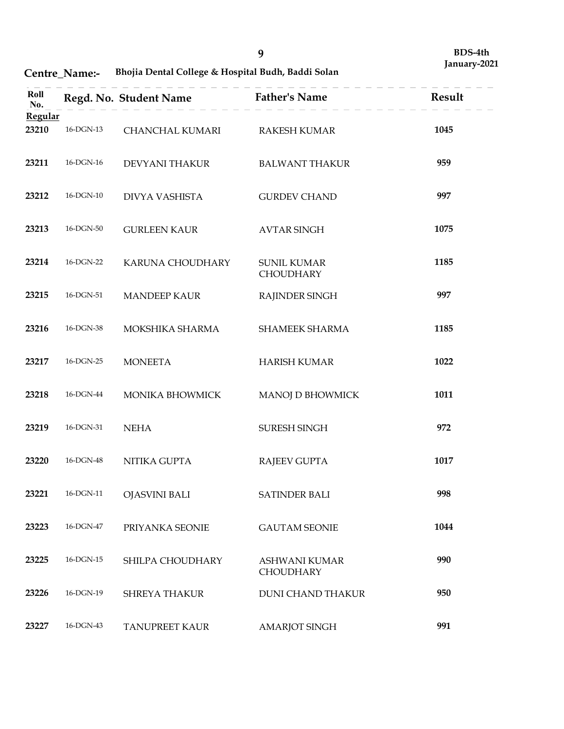# Centre\_Name:- Bhojia Dental College & Hospital Budh, Baddi Solan

|                  | Centre_Name:-     | Bhojia Dental College & Hospital Budh, Baddi Solan | $\boldsymbol{9}$                  | BDS-4th<br>January-2021 |
|------------------|-------------------|----------------------------------------------------|-----------------------------------|-------------------------|
| Roll<br>No.      |                   | Regd. No. Student Name                             | <b>Father's Name</b>              | Result                  |
| Regular<br>23210 | 16-DGN-13         | CHANCHAL KUMARI                                    | <b>RAKESH KUMAR</b>               | 1045                    |
| 23211            | 16-DGN-16         | DEVYANI THAKUR                                     | <b>BALWANT THAKUR</b>             | 959                     |
| 23212            | $16$ -DGN- $10$   | DIVYA VASHISTA                                     | <b>GURDEV CHAND</b>               | 997                     |
| 23213            | 16-DGN-50         | <b>GURLEEN KAUR</b>                                | <b>AVTAR SINGH</b>                | 1075                    |
| 23214            | 16-DGN-22         | KARUNA CHOUDHARY                                   | <b>SUNIL KUMAR</b><br>CHOUDHARY   | 1185                    |
| 23215            | 16-DGN-51         | <b>MANDEEP KAUR</b>                                | RAJINDER SINGH                    | 997                     |
| 23216            | 16-DGN-38         | MOKSHIKA SHARMA                                    | SHAMEEK SHARMA                    | 1185                    |
| 23217            | 16-DGN-25         | <b>MONEETA</b>                                     | <b>HARISH KUMAR</b>               | 1022                    |
| 23218            | $16$ -DGN-44 $\,$ | MONIKA BHOWMICK                                    | MANOJ D BHOWMICK                  | 1011                    |
| 23219            | 16-DGN-31         | <b>NEHA</b>                                        | SURESH SINGH                      | 972                     |
| 23220            | $16$ -DGN-48 $\,$ | NITIKA GUPTA                                       | <b>RAJEEV GUPTA</b>               | 1017                    |
| 23221            | 16-DGN-11         | <b>OJASVINI BALI</b>                               | SATINDER BALI                     | 998                     |
| 23223            | 16-DGN-47         | PRIYANKA SEONIE                                    | <b>GAUTAM SEONIE</b>              | 1044                    |
| 23225            | $16$ -DGN-15 $\,$ | SHILPA CHOUDHARY                                   | <b>ASHWANI KUMAR</b><br>CHOUDHARY | 990                     |
| 23226            | 16-DGN-19         | SHREYA THAKUR                                      | <b>DUNI CHAND THAKUR</b>          | 950                     |
| 23227            | 16-DGN-43         | TANUPREET KAUR                                     | AMARJOT SINGH                     | 991                     |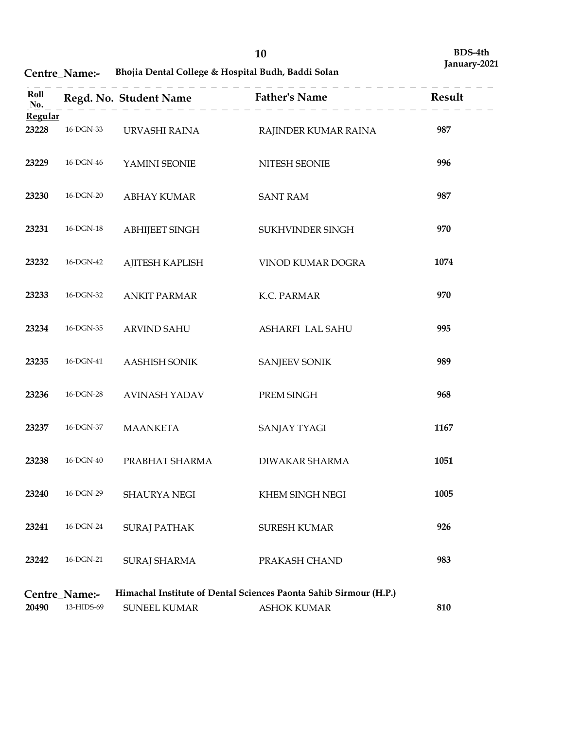# Centre\_Name:- Bhojia Dental College & Hospital Budh, Baddi Solan

|                  |                                                           |                                                    | 10                                                                | BDS-4th<br>January-2021 |
|------------------|-----------------------------------------------------------|----------------------------------------------------|-------------------------------------------------------------------|-------------------------|
|                  | Centre_Name:-                                             | Bhojia Dental College & Hospital Budh, Baddi Solan |                                                                   |                         |
| Roll<br>No.      |                                                           | Regd. No. Student Name                             | <b>Father's Name</b>                                              | Result                  |
| Regular<br>23228 | 16-DGN-33                                                 | URVASHI RAINA                                      | RAJINDER KUMAR RAINA                                              | 987                     |
| 23229            | 16-DGN-46                                                 | YAMINI SEONIE                                      | NITESH SEONIE                                                     | 996                     |
| 23230            | 16-DGN-20                                                 | <b>ABHAY KUMAR</b>                                 | <b>SANT RAM</b>                                                   | 987                     |
| 23231            | 16-DGN-18                                                 | <b>ABHIJEET SINGH</b>                              | SUKHVINDER SINGH                                                  | 970                     |
| 23232            | 16-DGN-42                                                 | AJITESH KAPLISH                                    | VINOD KUMAR DOGRA                                                 | 1074                    |
| 23233            | 16-DGN-32                                                 | <b>ANKIT PARMAR</b>                                | K.C. PARMAR                                                       | 970                     |
| 23234            | $16$ -DGN-35 $\,$                                         | <b>ARVIND SAHU</b>                                 | ASHARFI LAL SAHU                                                  | 995                     |
| 23235            | $16$ -DGN- $41\,$                                         | <b>AASHISH SONIK</b>                               | <b>SANJEEV SONIK</b>                                              | 989                     |
| 23236            | $16$ -DGN-28 $\,$                                         | <b>AVINASH YADAV</b>                               | PREM SINGH                                                        | 968                     |
| 23237            | $16$ -DGN-37                                              | <b>MAANKETA</b>                                    | <b>SANJAY TYAGI</b>                                               | 1167                    |
| 23238            | $16$ -DGN- $40\,$                                         | PRABHAT SHARMA                                     | DIWAKAR SHARMA                                                    | 1051                    |
| 23240            | 16-DGN-29                                                 | SHAURYA NEGI                                       | KHEM SINGH NEGI                                                   | 1005                    |
| 23241<br>23242   | $16\mbox{-} \mathrm{DGN}\mbox{-} 24$<br>$16$ -DGN-21 $\,$ | <b>SURAJ PATHAK</b><br><b>SURAJ SHARMA</b>         | SURESH KUMAR<br>PRAKASH CHAND                                     | 926<br>983              |
|                  | Centre_Name:-                                             |                                                    | Himachal Institute of Dental Sciences Paonta Sahib Sirmour (H.P.) |                         |
| 20490            | 13-HIDS-69                                                | SUNEEL KUMAR                                       | <b>ASHOK KUMAR</b>                                                | 810                     |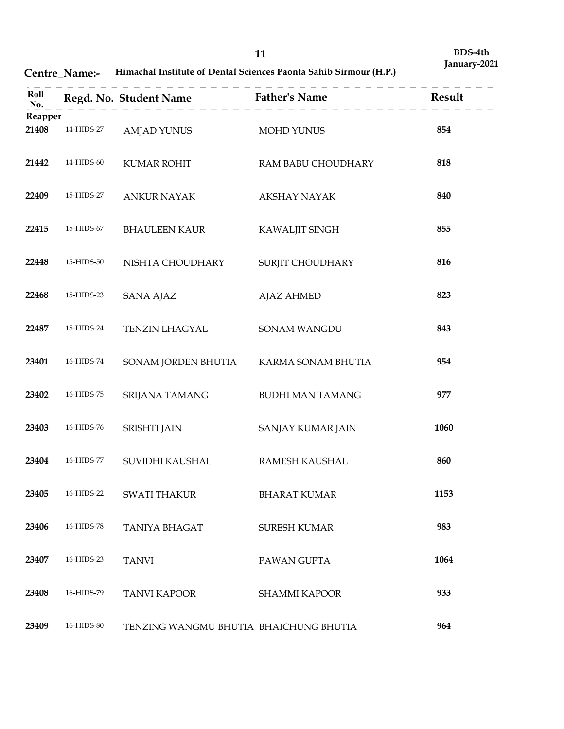# Centre\_Name:- Himachal Institute of Dental Sciences Paonta Sahib Sirmour (H.P.)

|                  | Centre_Name:-      |                                        | 11<br>Himachal Institute of Dental Sciences Paonta Sahib Sirmour (H.P.) | BDS-4th<br>January-2021 |
|------------------|--------------------|----------------------------------------|-------------------------------------------------------------------------|-------------------------|
| Roll<br>No.      |                    | Regd. No. Student Name                 | <b>Father's Name</b>                                                    | Result                  |
| Reapper<br>21408 | 14-HIDS-27         | <b>AMJAD YUNUS</b>                     | <b>MOHD YUNUS</b>                                                       | 854                     |
| 21442            | 14-HIDS-60         | <b>KUMAR ROHIT</b>                     | RAM BABU CHOUDHARY                                                      | 818                     |
| 22409            | 15-HIDS-27         | <b>ANKUR NAYAK</b>                     | <b>AKSHAY NAYAK</b>                                                     | 840                     |
| 22415            | 15-HIDS-67         | <b>BHAULEEN KAUR</b>                   | KAWALJIT SINGH                                                          | 855                     |
| 22448            | 15-HIDS-50         | NISHTA CHOUDHARY                       | SURJIT CHOUDHARY                                                        | 816                     |
| 22468            | 15-HIDS-23         | <b>SANA AJAZ</b>                       | <b>AJAZ AHMED</b>                                                       | 823                     |
| 22487            | 15-HIDS-24         | TENZIN LHAGYAL                         | SONAM WANGDU                                                            | 843                     |
| 23401            | $16$ -HIDS-74 $\,$ | SONAM JORDEN BHUTIA                    | KARMA SONAM BHUTIA                                                      | 954                     |
| 23402            | 16-HIDS-75         | SRIJANA TAMANG                         | <b>BUDHI MAN TAMANG</b>                                                 | 977                     |
| 23403            | 16-HIDS-76         | SRISHTI JAIN                           | SANJAY KUMAR JAIN                                                       | 1060                    |
| 23404            | 16-HIDS-77         | SUVIDHI KAUSHAL                        | RAMESH KAUSHAL                                                          | 860                     |
| 23405            | 16-HIDS-22         | <b>SWATI THAKUR</b>                    | <b>BHARAT KUMAR</b>                                                     | 1153                    |
| 23406            | 16-HIDS-78         | TANIYA BHAGAT                          | SURESH KUMAR                                                            | 983                     |
| 23407            | 16-HIDS-23         | <b>TANVI</b>                           | PAWAN GUPTA                                                             | 1064                    |
| 23408            | 16-HIDS-79         | <b>TANVI KAPOOR</b>                    | SHAMMI KAPOOR                                                           | 933                     |
| 23409            | 16-HIDS-80         | TENZING WANGMU BHUTIA BHAICHUNG BHUTIA |                                                                         | 964                     |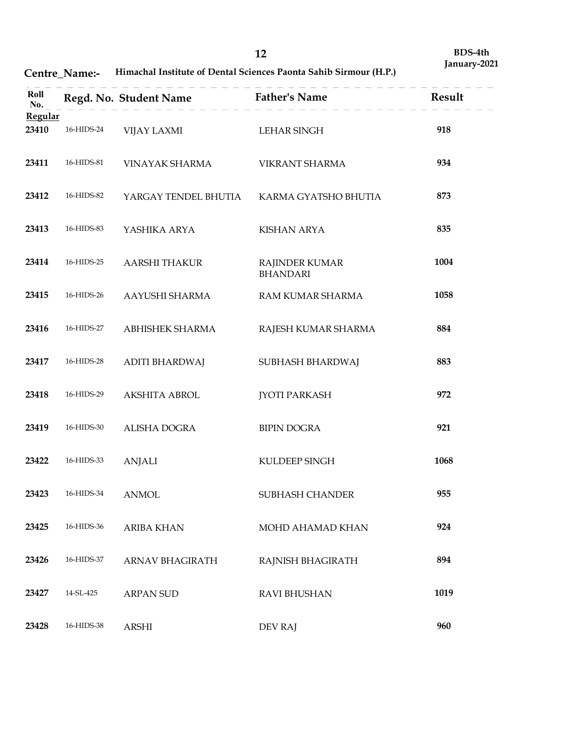| Centre Name:- | <b>Himachal Institute of Dental Sciences Paonta Sahib Sirmour (H.P.)</b> |  |
|---------------|--------------------------------------------------------------------------|--|
|---------------|--------------------------------------------------------------------------|--|

|                  | Centre_Name:-                            |                                     | 12<br>Himachal Institute of Dental Sciences Paonta Sahib Sirmour (H.P.) | BDS-4th<br>January-2021 |
|------------------|------------------------------------------|-------------------------------------|-------------------------------------------------------------------------|-------------------------|
| Roll<br>No.      |                                          | Regd. No. Student Name              | <b>Father's Name</b>                                                    | Result                  |
| Regular<br>23410 | 16-HIDS-24                               | VIJAY LAXMI                         | <b>LEHAR SINGH</b>                                                      | 918                     |
| 23411            | 16-HIDS-81                               | VINAYAK SHARMA                      | VIKRANT SHARMA                                                          | 934                     |
| 23412            | 16-HIDS-82                               | YARGAY TENDEL BHUTIA                | KARMA GYATSHO BHUTIA                                                    | 873                     |
| 23413            | 16-HIDS-83                               | YASHIKA ARYA                        | <b>KISHAN ARYA</b>                                                      | 835                     |
| 23414            | 16-HIDS-25                               | AARSHI THAKUR                       | RAJINDER KUMAR<br><b>BHANDARI</b>                                       | 1004                    |
| 23415            | 16-HIDS-26                               | AAYUSHI SHARMA                      | RAM KUMAR SHARMA                                                        | 1058                    |
| 23416            | $16$ -HIDS-27 $\,$                       | ABHISHEK SHARMA                     | RAJESH KUMAR SHARMA                                                     | 884                     |
| 23417            | 16-HIDS-28                               | <b>ADITI BHARDWAJ</b>               | SUBHASH BHARDWAJ                                                        | 883                     |
| 23418            | 16-HIDS-29                               | AKSHITA ABROL                       | <b>JYOTI PARKASH</b>                                                    | 972                     |
| 23419            | $16$ -HIDS-30 $\,$                       | ALISHA DOGRA                        | <b>BIPIN DOGRA</b>                                                      | 921                     |
| 23422            | 16-HIDS-33                               | <b>ANJALI</b>                       | KULDEEP SINGH                                                           | 1068                    |
| 23423            | $16$ -HIDS-34 $\,$                       | <b>ANMOL</b>                        | SUBHASH CHANDER                                                         | 955                     |
| 23425<br>23426   | $16$ -HIDS-36 $\,$<br>$16$ -HIDS-37 $\,$ | <b>ARIBA KHAN</b>                   | MOHD AHAMAD KHAN                                                        | 924<br>894              |
| 23427            | 14-SL-425                                | ARNAV BHAGIRATH<br><b>ARPAN SUD</b> | RAJNISH BHAGIRATH<br>RAVI BHUSHAN                                       | 1019                    |
| 23428            | 16-HIDS-38                               | ARSHI                               | DEV RAJ                                                                 | 960                     |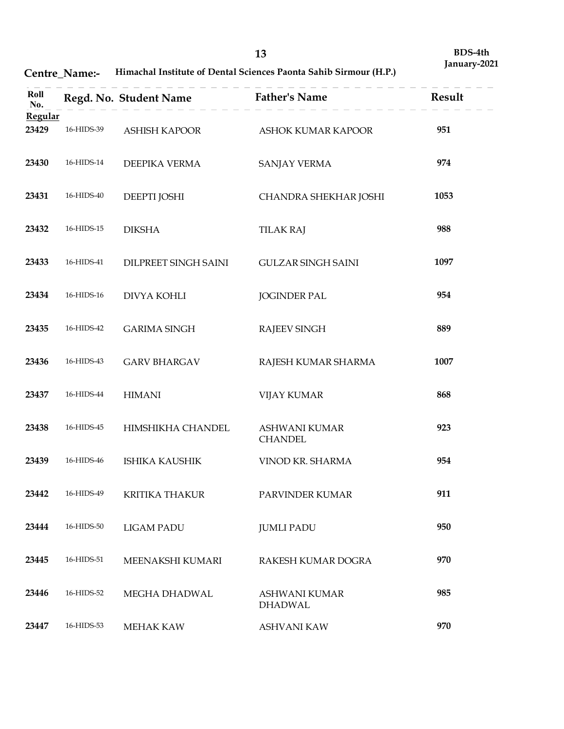# Centre\_Name:- Himachal Institute of Dental Sciences Paonta Sahib Sirmour (H.P.)

|                         | Centre_Name:- |                        | 13<br>Himachal Institute of Dental Sciences Paonta Sahib Sirmour (H.P.) | BDS-4th<br>January-2021 |
|-------------------------|---------------|------------------------|-------------------------------------------------------------------------|-------------------------|
| Roll                    |               | Regd. No. Student Name | <b>Father's Name</b>                                                    | Result                  |
| No.<br>Regular<br>23429 | 16-HIDS-39    | ASHISH KAPOOR          | ASHOK KUMAR KAPOOR                                                      | 951                     |
| 23430                   | 16-HIDS-14    | DEEPIKA VERMA          | <b>SANJAY VERMA</b>                                                     | 974                     |
| 23431                   | 16-HIDS-40    | DEEPTI JOSHI           | CHANDRA SHEKHAR JOSHI                                                   | 1053                    |
| 23432                   | 16-HIDS-15    | <b>DIKSHA</b>          | <b>TILAK RAJ</b>                                                        | 988                     |
| 23433                   | 16-HIDS-41    | DILPREET SINGH SAINI   | <b>GULZAR SINGH SAINI</b>                                               | 1097                    |
| 23434                   | 16-HIDS-16    | DIVYA KOHLI            | <b>JOGINDER PAL</b>                                                     | 954                     |
| 23435                   | 16-HIDS-42    | <b>GARIMA SINGH</b>    | RAJEEV SINGH                                                            | 889                     |
| 23436                   | 16-HIDS-43    | <b>GARV BHARGAV</b>    | RAJESH KUMAR SHARMA                                                     | 1007                    |
| 23437                   | 16-HIDS-44    | <b>HIMANI</b>          | <b>VIJAY KUMAR</b>                                                      | 868                     |
| 23438                   | 16-HIDS-45    | HIMSHIKHA CHANDEL      | ASHWANI KUMAR<br><b>CHANDEL</b>                                         | 923                     |
| 23439                   | 16-HIDS-46    | <b>ISHIKA KAUSHIK</b>  | VINOD KR. SHARMA                                                        | 954                     |
| 23442                   | 16-HIDS-49    | <b>KRITIKA THAKUR</b>  | PARVINDER KUMAR                                                         | 911                     |
| 23444                   | 16-HIDS-50    | <b>LIGAM PADU</b>      | <b>JUMLI PADU</b>                                                       | 950                     |
| 23445                   | 16-HIDS-51    | MEENAKSHI KUMARI       | RAKESH KUMAR DOGRA                                                      | 970                     |
| 23446                   | 16-HIDS-52    | MEGHA DHADWAL          | <b>ASHWANI KUMAR</b><br><b>DHADWAL</b>                                  | 985                     |
| 23447                   | 16-HIDS-53    | MEHAK KAW              | <b>ASHVANI KAW</b>                                                      | 970                     |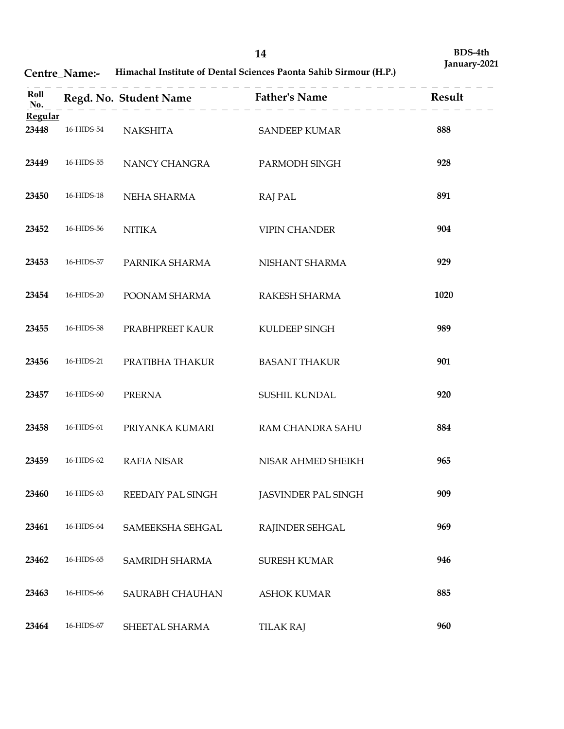| Himachal Institute of Dental Sciences Paonta Sahib Sirmour (H.P.) |
|-------------------------------------------------------------------|
|                                                                   |

|                         | Centre_Name:-            |                                   | 14<br>Himachal Institute of Dental Sciences Paonta Sahib Sirmour (H.P.) | BDS-4th<br>January-2021 |
|-------------------------|--------------------------|-----------------------------------|-------------------------------------------------------------------------|-------------------------|
| Roll                    |                          | Regd. No. Student Name            | <b>Father's Name</b>                                                    | Result                  |
| No.<br>Regular<br>23448 | 16-HIDS-54               | <b>NAKSHITA</b>                   | <b>SANDEEP KUMAR</b>                                                    | 888                     |
| 23449                   | 16-HIDS-55               | NANCY CHANGRA                     | PARMODH SINGH                                                           | 928                     |
| 23450                   | 16-HIDS-18               | NEHA SHARMA                       | <b>RAJ PAL</b>                                                          | 891                     |
| 23452                   | 16-HIDS-56               | <b>NITIKA</b>                     | <b>VIPIN CHANDER</b>                                                    | 904                     |
| 23453                   | 16-HIDS-57               | PARNIKA SHARMA                    | NISHANT SHARMA                                                          | 929                     |
| 23454                   | 16-HIDS-20               | POONAM SHARMA                     | RAKESH SHARMA                                                           | 1020                    |
| 23455                   | 16-HIDS-58               | PRABHPREET KAUR                   | KULDEEP SINGH                                                           | 989                     |
| 23456                   | 16-HIDS-21               | PRATIBHA THAKUR                   | <b>BASANT THAKUR</b>                                                    | 901                     |
| 23457                   | 16-HIDS-60               | PRERNA                            | SUSHIL KUNDAL                                                           | 920                     |
| 23458                   | 16-HIDS-61               | PRIYANKA KUMARI                   | RAM CHANDRA SAHU                                                        | 884                     |
| 23459                   | 16-HIDS-62               | <b>RAFIA NISAR</b>                | NISAR AHMED SHEIKH                                                      | 965                     |
| 23460                   | 16-HIDS-63               | REEDAIY PAL SINGH                 | JASVINDER PAL SINGH                                                     | 909                     |
| 23461                   | 16-HIDS-64               | SAMEEKSHA SEHGAL                  | RAJINDER SEHGAL                                                         | 969                     |
| 23462<br>23463          | 16-HIDS-65<br>16-HIDS-66 | SAMRIDH SHARMA<br>SAURABH CHAUHAN | <b>SURESH KUMAR</b><br><b>ASHOK KUMAR</b>                               | 946<br>885              |
| 23464                   | 16-HIDS-67               | SHEETAL SHARMA                    | <b>TILAK RAJ</b>                                                        | 960                     |